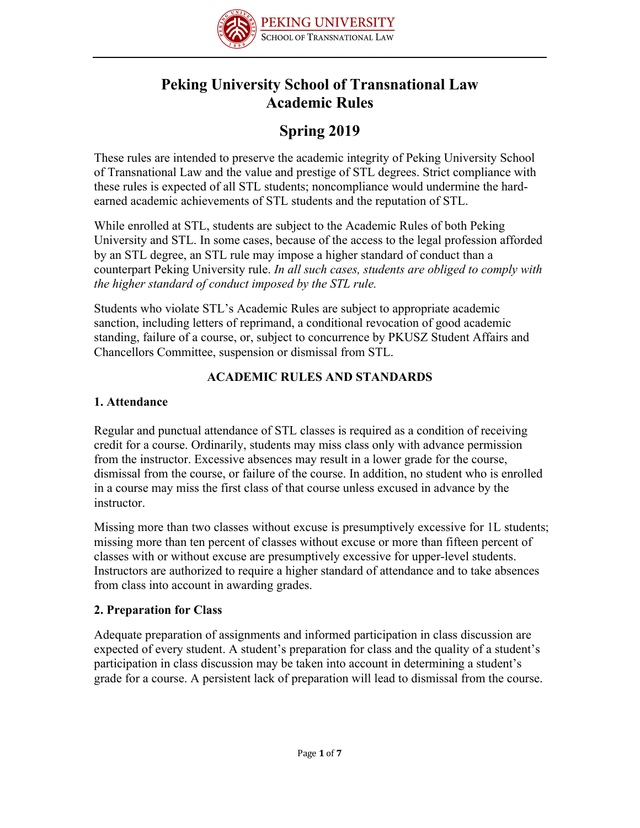

# **Peking University School of Transnational Law Academic Rules**

# **Spring 2019**

These rules are intended to preserve the academic integrity of Peking University School of Transnational Law and the value and prestige of STL degrees. Strict compliance with these rules is expected of all STL students; noncompliance would undermine the hardearned academic achievements of STL students and the reputation of STL.

While enrolled at STL, students are subject to the Academic Rules of both Peking University and STL. In some cases, because of the access to the legal profession afforded by an STL degree, an STL rule may impose a higher standard of conduct than a counterpart Peking University rule. *In all such cases, students are obliged to comply with the higher standard of conduct imposed by the STL rule.*

Students who violate STL's Academic Rules are subject to appropriate academic sanction, including letters of reprimand, a conditional revocation of good academic standing, failure of a course, or, subject to concurrence by PKUSZ Student Affairs and Chancellors Committee, suspension or dismissal from STL.

# **ACADEMIC RULES AND STANDARDS**

# **1. Attendance**

Regular and punctual attendance of STL classes is required as a condition of receiving credit for a course. Ordinarily, students may miss class only with advance permission from the instructor. Excessive absences may result in a lower grade for the course, dismissal from the course, or failure of the course. In addition, no student who is enrolled in a course may miss the first class of that course unless excused in advance by the instructor.

Missing more than two classes without excuse is presumptively excessive for 1L students; missing more than ten percent of classes without excuse or more than fifteen percent of classes with or without excuse are presumptively excessive for upper-level students. Instructors are authorized to require a higher standard of attendance and to take absences from class into account in awarding grades.

# **2. Preparation for Class**

Adequate preparation of assignments and informed participation in class discussion are expected of every student. A student's preparation for class and the quality of a student's participation in class discussion may be taken into account in determining a student's grade for a course. A persistent lack of preparation will lead to dismissal from the course.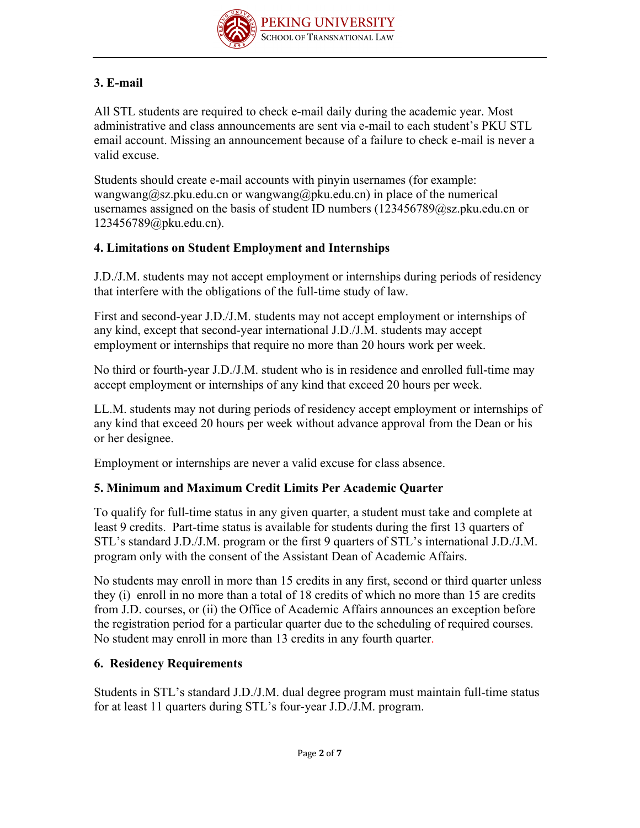

# **3. E-mail**

All STL students are required to check e-mail daily during the academic year. Most administrative and class announcements are sent via e-mail to each student's PKU STL email account. Missing an announcement because of a failure to check e-mail is never a valid excuse.

Students should create e-mail accounts with pinyin usernames (for example: wangwang@sz.pku.edu.cn or wangwang@pku.edu.cn) in place of the numerical usernames assigned on the basis of student ID numbers (123456789@sz.pku.edu.cn or 123456789@pku.edu.cn).

#### **4. Limitations on Student Employment and Internships**

J.D./J.M. students may not accept employment or internships during periods of residency that interfere with the obligations of the full-time study of law.

First and second-year J.D./J.M. students may not accept employment or internships of any kind, except that second-year international J.D./J.M. students may accept employment or internships that require no more than 20 hours work per week.

No third or fourth-year J.D./J.M. student who is in residence and enrolled full-time may accept employment or internships of any kind that exceed 20 hours per week.

LL.M. students may not during periods of residency accept employment or internships of any kind that exceed 20 hours per week without advance approval from the Dean or his or her designee.

Employment or internships are never a valid excuse for class absence.

## **5. Minimum and Maximum Credit Limits Per Academic Quarter**

To qualify for full-time status in any given quarter, a student must take and complete at least 9 credits. Part-time status is available for students during the first 13 quarters of STL's standard J.D./J.M. program or the first 9 quarters of STL's international J.D./J.M. program only with the consent of the Assistant Dean of Academic Affairs.

No students may enroll in more than 15 credits in any first, second or third quarter unless they (i) enroll in no more than a total of 18 credits of which no more than 15 are credits from J.D. courses, or (ii) the Office of Academic Affairs announces an exception before the registration period for a particular quarter due to the scheduling of required courses. No student may enroll in more than 13 credits in any fourth quarter.

## **6. Residency Requirements**

Students in STL's standard J.D./J.M. dual degree program must maintain full-time status for at least 11 quarters during STL's four-year J.D./J.M. program.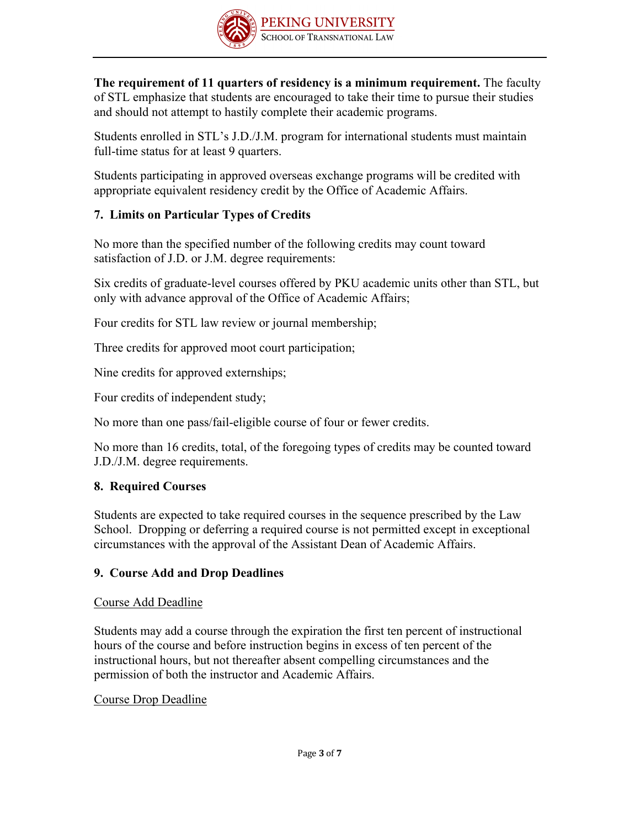

**The requirement of 11 quarters of residency is a minimum requirement.** The faculty of STL emphasize that students are encouraged to take their time to pursue their studies and should not attempt to hastily complete their academic programs.

Students enrolled in STL's J.D./J.M. program for international students must maintain full-time status for at least 9 quarters.

Students participating in approved overseas exchange programs will be credited with appropriate equivalent residency credit by the Office of Academic Affairs.

# **7. Limits on Particular Types of Credits**

No more than the specified number of the following credits may count toward satisfaction of J.D. or J.M. degree requirements:

Six credits of graduate-level courses offered by PKU academic units other than STL, but only with advance approval of the Office of Academic Affairs;

Four credits for STL law review or journal membership;

Three credits for approved moot court participation;

Nine credits for approved externships;

Four credits of independent study;

No more than one pass/fail-eligible course of four or fewer credits.

No more than 16 credits, total, of the foregoing types of credits may be counted toward J.D./J.M. degree requirements.

## **8. Required Courses**

Students are expected to take required courses in the sequence prescribed by the Law School. Dropping or deferring a required course is not permitted except in exceptional circumstances with the approval of the Assistant Dean of Academic Affairs.

# **9. Course Add and Drop Deadlines**

## Course Add Deadline

Students may add a course through the expiration the first ten percent of instructional hours of the course and before instruction begins in excess of ten percent of the instructional hours, but not thereafter absent compelling circumstances and the permission of both the instructor and Academic Affairs.

## Course Drop Deadline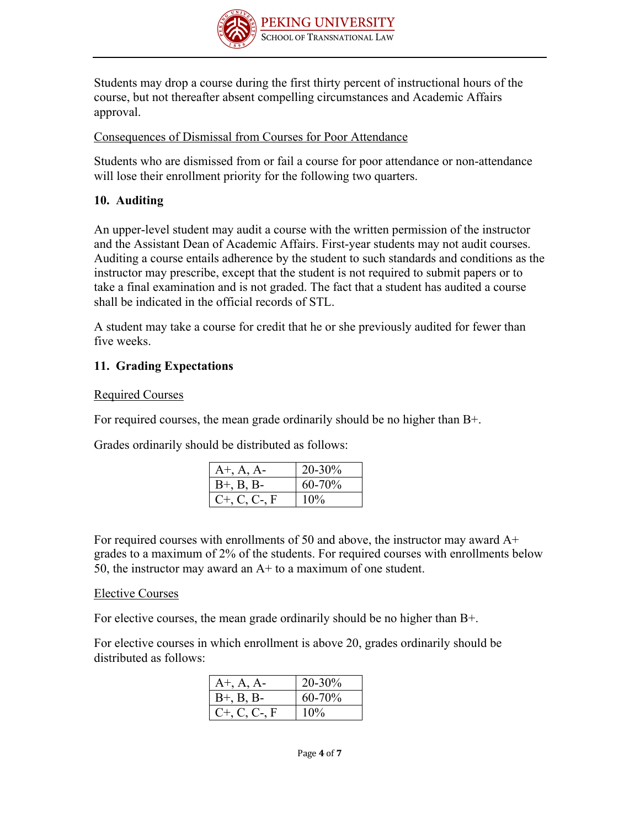

Students may drop a course during the first thirty percent of instructional hours of the course, but not thereafter absent compelling circumstances and Academic Affairs approval.

#### Consequences of Dismissal from Courses for Poor Attendance

Students who are dismissed from or fail a course for poor attendance or non-attendance will lose their enrollment priority for the following two quarters.

## **10. Auditing**

An upper-level student may audit a course with the written permission of the instructor and the Assistant Dean of Academic Affairs. First-year students may not audit courses. Auditing a course entails adherence by the student to such standards and conditions as the instructor may prescribe, except that the student is not required to submit papers or to take a final examination and is not graded. The fact that a student has audited a course shall be indicated in the official records of STL.

A student may take a course for credit that he or she previously audited for fewer than five weeks.

## **11. Grading Expectations**

## Required Courses

For required courses, the mean grade ordinarily should be no higher than B+.

Grades ordinarily should be distributed as follows:

| $A^+, A, A^-$      | 20-30% |
|--------------------|--------|
| $B+, B, B-$        | 60-70% |
| $C_{+}$ , C, C-, F | 10%    |

For required courses with enrollments of 50 and above, the instructor may award A+ grades to a maximum of 2% of the students. For required courses with enrollments below 50, the instructor may award an A+ to a maximum of one student.

## Elective Courses

For elective courses, the mean grade ordinarily should be no higher than B+.

For elective courses in which enrollment is above 20, grades ordinarily should be distributed as follows:

| $A^+, A, A^-$      | 20-30% |
|--------------------|--------|
| $B^{+}$ , B, B-    | 60-70% |
| $C_{+}$ , C, C-, F | 10%    |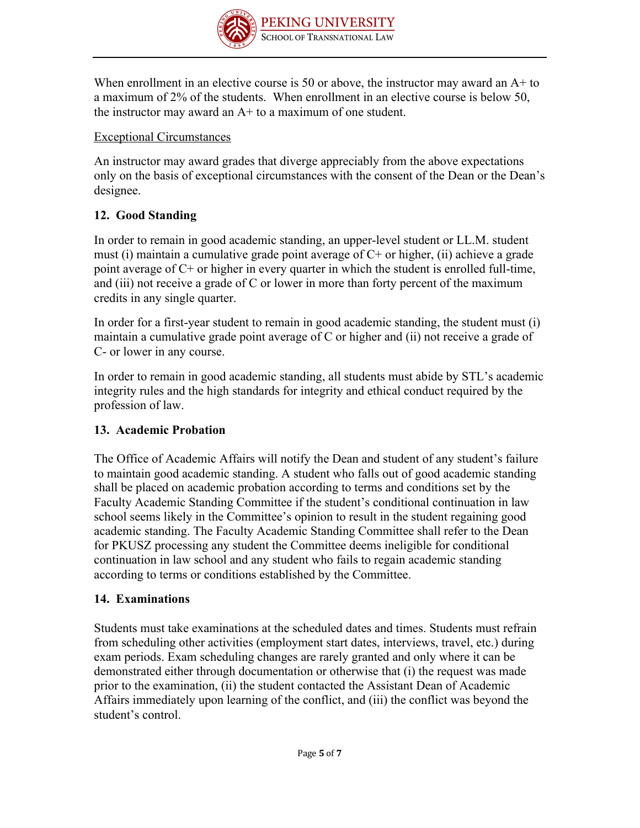

When enrollment in an elective course is 50 or above, the instructor may award an A+ to a maximum of 2% of the students. When enrollment in an elective course is below 50, the instructor may award an  $A<sup>+</sup>$  to a maximum of one student.

## Exceptional Circumstances

An instructor may award grades that diverge appreciably from the above expectations only on the basis of exceptional circumstances with the consent of the Dean or the Dean's designee.

# **12. Good Standing**

In order to remain in good academic standing, an upper-level student or LL.M. student must (i) maintain a cumulative grade point average of  $C<sup>+</sup>$  or higher, (ii) achieve a grade point average of C+ or higher in every quarter in which the student is enrolled full-time, and (iii) not receive a grade of C or lower in more than forty percent of the maximum credits in any single quarter.

In order for a first-year student to remain in good academic standing, the student must (i) maintain a cumulative grade point average of C or higher and (ii) not receive a grade of C- or lower in any course.

In order to remain in good academic standing, all students must abide by STL's academic integrity rules and the high standards for integrity and ethical conduct required by the profession of law.

# **13. Academic Probation**

The Office of Academic Affairs will notify the Dean and student of any student's failure to maintain good academic standing. A student who falls out of good academic standing shall be placed on academic probation according to terms and conditions set by the Faculty Academic Standing Committee if the student's conditional continuation in law school seems likely in the Committee's opinion to result in the student regaining good academic standing. The Faculty Academic Standing Committee shall refer to the Dean for PKUSZ processing any student the Committee deems ineligible for conditional continuation in law school and any student who fails to regain academic standing according to terms or conditions established by the Committee.

# **14. Examinations**

Students must take examinations at the scheduled dates and times. Students must refrain from scheduling other activities (employment start dates, interviews, travel, etc.) during exam periods. Exam scheduling changes are rarely granted and only where it can be demonstrated either through documentation or otherwise that (i) the request was made prior to the examination, (ii) the student contacted the Assistant Dean of Academic Affairs immediately upon learning of the conflict, and (iii) the conflict was beyond the student's control.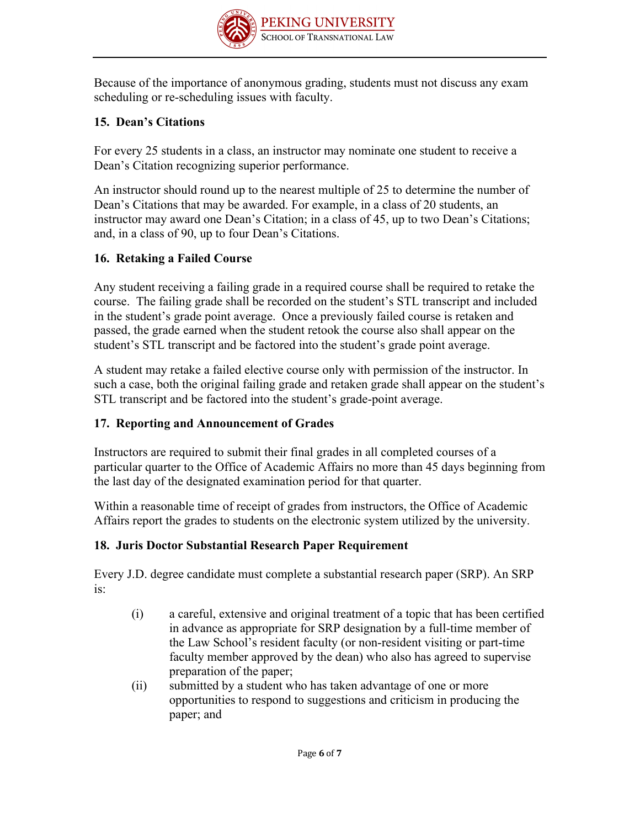

Because of the importance of anonymous grading, students must not discuss any exam scheduling or re-scheduling issues with faculty.

# **15. Dean's Citations**

For every 25 students in a class, an instructor may nominate one student to receive a Dean's Citation recognizing superior performance.

An instructor should round up to the nearest multiple of 25 to determine the number of Dean's Citations that may be awarded. For example, in a class of 20 students, an instructor may award one Dean's Citation; in a class of 45, up to two Dean's Citations; and, in a class of 90, up to four Dean's Citations.

# **16. Retaking a Failed Course**

Any student receiving a failing grade in a required course shall be required to retake the course. The failing grade shall be recorded on the student's STL transcript and included in the student's grade point average. Once a previously failed course is retaken and passed, the grade earned when the student retook the course also shall appear on the student's STL transcript and be factored into the student's grade point average.

A student may retake a failed elective course only with permission of the instructor. In such a case, both the original failing grade and retaken grade shall appear on the student's STL transcript and be factored into the student's grade-point average.

## **17. Reporting and Announcement of Grades**

Instructors are required to submit their final grades in all completed courses of a particular quarter to the Office of Academic Affairs no more than 45 days beginning from the last day of the designated examination period for that quarter.

Within a reasonable time of receipt of grades from instructors, the Office of Academic Affairs report the grades to students on the electronic system utilized by the university.

## **18. Juris Doctor Substantial Research Paper Requirement**

Every J.D. degree candidate must complete a substantial research paper (SRP). An SRP is:

- (i) a careful, extensive and original treatment of a topic that has been certified in advance as appropriate for SRP designation by a full-time member of the Law School's resident faculty (or non-resident visiting or part-time faculty member approved by the dean) who also has agreed to supervise preparation of the paper;
- (ii) submitted by a student who has taken advantage of one or more opportunities to respond to suggestions and criticism in producing the paper; and